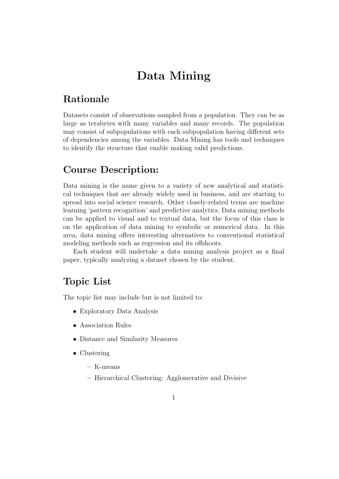# Data Mining

# Rationale

Datasets consist of observations sampled from a population. They can be as large as terabytes with many variables and many records. The population may consist of subpopulations with each subpopulation having different sets of dependencies among the variables. Data Mining has tools and techniques to identify the structure that enable making valid predictions.

# Course Description:

Data mining is the name given to a variety of new analytical and statistical techniques that are already widely used in business, and are starting to spread into social science research. Other closely-related terms are machine learning 'pattern recognition' and predictive analytics. Data mining methods can be applied to visual and to textual data, but the focus of this class is on the application of data mining to symbolic or numerical data. In this area, data mining offers interesting alternatives to conventional statistical modeling methods such as regression and its offshoots.

Each student will undertake a data mining analysis project as a final paper, typically analyzing a dataset chosen by the student.

#### Topic List

The topic list may include but is not limited to:

- Exploratory Data Analysis
- Association Rules
- Distance and Similarity Measures
- Clustering
	- K-means
	- Hierarchical Clustering: Agglomerative and Divisive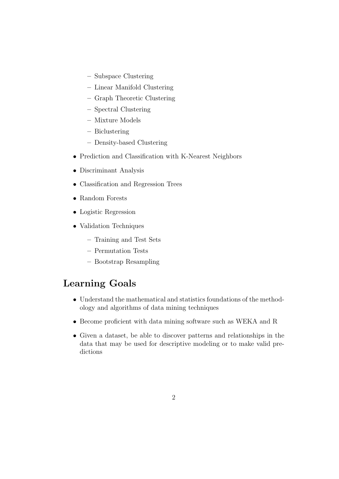- Subspace Clustering
- Linear Manifold Clustering
- Graph Theoretic Clustering
- Spectral Clustering
- Mixture Models
- Biclustering
- Density-based Clustering
- Prediction and Classification with K-Nearest Neighbors
- Discriminant Analysis
- Classification and Regression Trees
- Random Forests
- Logistic Regression
- Validation Techniques
	- Training and Test Sets
	- Permutation Tests
	- Bootstrap Resampling

### Learning Goals

- Understand the mathematical and statistics foundations of the methodology and algorithms of data mining techniques
- Become proficient with data mining software such as WEKA and R
- Given a dataset, be able to discover patterns and relationships in the data that may be used for descriptive modeling or to make valid predictions